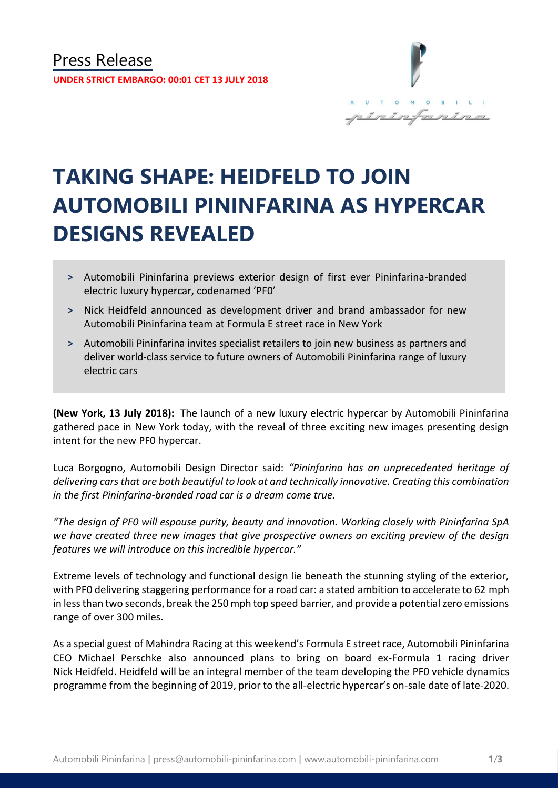

# **TAKING SHAPE: HEIDFELD TO JOIN AUTOMOBILI PININFARINA AS HYPERCAR DESIGNS REVEALED**

- **˃** Automobili Pininfarina previews exterior design of first ever Pininfarina-branded electric luxury hypercar, codenamed 'PF0'
- **˃** Nick Heidfeld announced as development driver and brand ambassador for new Automobili Pininfarina team at Formula E street race in New York
- **˃** Automobili Pininfarina invites specialist retailers to join new business as partners and deliver world-class service to future owners of Automobili Pininfarina range of luxury electric cars

**(New York, 13 July 2018):** The launch of a new luxury electric hypercar by Automobili Pininfarina gathered pace in New York today, with the reveal of three exciting new images presenting design intent for the new PF0 hypercar.

Luca Borgogno, Automobili Design Director said: *"Pininfarina has an unprecedented heritage of delivering cars that are both beautiful to look at and technically innovative. Creating this combination in the first Pininfarina-branded road car is a dream come true.*

*"The design of PF0 will espouse purity, beauty and innovation. Working closely with Pininfarina SpA we have created three new images that give prospective owners an exciting preview of the design features we will introduce on this incredible hypercar."*

Extreme levels of technology and functional design lie beneath the stunning styling of the exterior, with PF0 delivering staggering performance for a road car: a stated ambition to accelerate to 62 mph in less than two seconds, break the 250 mph top speed barrier, and provide a potential zero emissions range of over 300 miles.

As a special guest of Mahindra Racing at this weekend's Formula E street race, Automobili Pininfarina CEO Michael Perschke also announced plans to bring on board ex-Formula 1 racing driver Nick Heidfeld. Heidfeld will be an integral member of the team developing the PF0 vehicle dynamics programme from the beginning of 2019, prior to the all-electric hypercar's on-sale date of late-2020.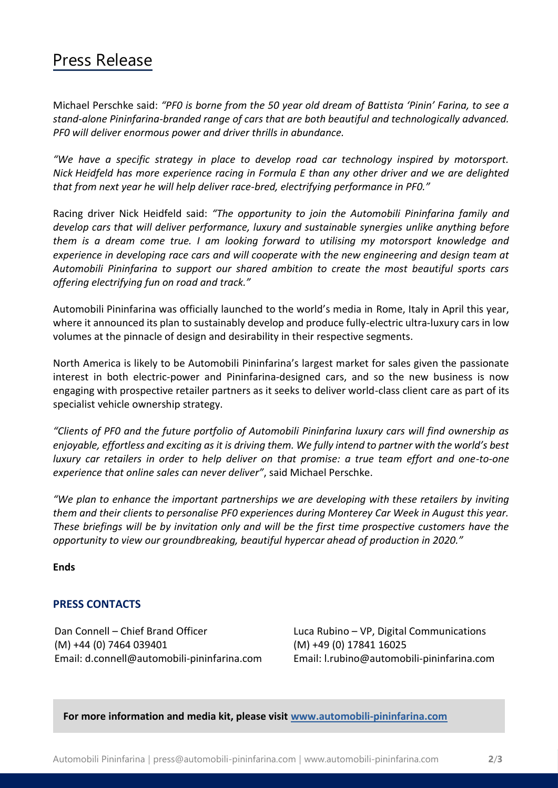### Press Release

Michael Perschke said: *"PF0 is borne from the 50 year old dream of Battista 'Pinin' Farina, to see a stand-alone Pininfarina-branded range of cars that are both beautiful and technologically advanced. PF0 will deliver enormous power and driver thrills in abundance.* 

*"We have a specific strategy in place to develop road car technology inspired by motorsport. Nick Heidfeld has more experience racing in Formula E than any other driver and we are delighted that from next year he will help deliver race-bred, electrifying performance in PF0."*

Racing driver Nick Heidfeld said: *"The opportunity to join the Automobili Pininfarina family and develop cars that will deliver performance, luxury and sustainable synergies unlike anything before them is a dream come true. I am looking forward to utilising my motorsport knowledge and experience in developing race cars and will cooperate with the new engineering and design team at Automobili Pininfarina to support our shared ambition to create the most beautiful sports cars offering electrifying fun on road and track."* 

Automobili Pininfarina was officially launched to the world's media in Rome, Italy in April this year, where it announced its plan to sustainably develop and produce fully-electric ultra-luxury cars in low volumes at the pinnacle of design and desirability in their respective segments.

North America is likely to be Automobili Pininfarina's largest market for sales given the passionate interest in both electric-power and Pininfarina-designed cars, and so the new business is now engaging with prospective retailer partners as it seeks to deliver world-class client care as part of its specialist vehicle ownership strategy.

*"Clients of PF0 and the future portfolio of Automobili Pininfarina luxury cars will find ownership as enjoyable, effortless and exciting as it is driving them. We fully intend to partner with the world's best luxury car retailers in order to help deliver on that promise: a true team effort and one-to-one experience that online sales can never deliver"*, said Michael Perschke.

"We plan to enhance the important partnerships we are developing with these retailers by inviting *them and their clients to personalise PF0 experiences during Monterey Car Week in August this year. These briefings will be by invitation only and will be the first time prospective customers have the opportunity to view our groundbreaking, beautiful hypercar ahead of production in 2020."*

**Ends** 

### **PRESS CONTACTS**

Dan Connell – Chief Brand Officer Luca Rubino – VP, Digital Communications (M) +44 (0) 7464 039401 (M) +49 (0) 17841 16025 Email: d.connell@automobili-pininfarina.com Email: [l.rubino@automobili-pininfarina.com](mailto:l.rubino@automobili-pininfarina.com)

**For more information and media kit, please visit [www.automobili-pininfarina.com](http://www.automobili-pininfarina.com/)**